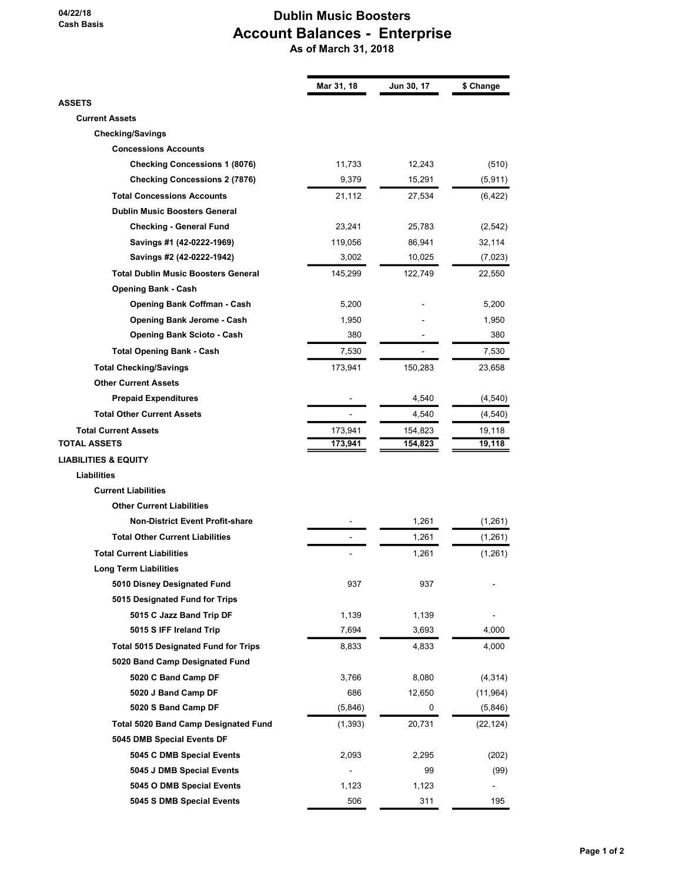### Dublin Music Boosters Account Balances - Enterprise As of March 31, 2018

|                                             | Mar 31, 18 | Jun 30, 17  | \$ Change            |
|---------------------------------------------|------------|-------------|----------------------|
| ASSETS                                      |            |             |                      |
| <b>Current Assets</b>                       |            |             |                      |
| <b>Checking/Savings</b>                     |            |             |                      |
| <b>Concessions Accounts</b>                 |            |             |                      |
| <b>Checking Concessions 1 (8076)</b>        | 11,733     | 12,243      | (510)                |
| <b>Checking Concessions 2 (7876)</b>        | 9,379      | 15,291      | (5, 911)             |
| <b>Total Concessions Accounts</b>           | 21,112     | 27,534      | (6, 422)             |
| <b>Dublin Music Boosters General</b>        |            |             |                      |
| <b>Checking - General Fund</b>              | 23,241     | 25,783      | (2, 542)             |
| Savings #1 (42-0222-1969)                   | 119,056    | 86,941      | 32,114               |
| Savings #2 (42-0222-1942)                   | 3,002      | 10,025      | (7,023)              |
| <b>Total Dublin Music Boosters General</b>  | 145,299    | 122,749     | 22,550               |
| <b>Opening Bank - Cash</b>                  |            |             |                      |
| Opening Bank Coffman - Cash                 | 5,200      |             | 5,200                |
| Opening Bank Jerome - Cash                  | 1,950      |             | 1,950                |
| <b>Opening Bank Scioto - Cash</b>           | 380        |             | 380                  |
| <b>Total Opening Bank - Cash</b>            | 7,530      |             | 7,530                |
| <b>Total Checking/Savings</b>               | 173,941    | 150,283     | 23,658               |
| <b>Other Current Assets</b>                 |            |             |                      |
| <b>Prepaid Expenditures</b>                 |            | 4,540       | (4, 540)             |
| <b>Total Other Current Assets</b>           |            | 4,540       | (4, 540)             |
| <b>Total Current Assets</b>                 | 173,941    | 154,823     | 19,118               |
| TOTAL ASSETS                                | 173,941    | 154,823     | 19,118               |
| <b>LIABILITIES &amp; EQUITY</b>             |            |             |                      |
| <b>Liabilities</b>                          |            |             |                      |
| <b>Current Liabilities</b>                  |            |             |                      |
| <b>Other Current Liabilities</b>            |            |             |                      |
| <b>Non-District Event Profit-share</b>      |            | 1,261       | (1,261)              |
| <b>Total Other Current Liabilities</b>      |            | 1,261       | (1, 261)             |
| <b>Total Current Liabilities</b>            |            | 1,261       | (1,261)              |
| Long Term Liabilities                       |            |             |                      |
| 5010 Disney Designated Fund                 | 937        | 937         |                      |
| 5015 Designated Fund for Trips              |            |             |                      |
| 5015 C Jazz Band Trip DF                    | 1,139      | 1,139       |                      |
| 5015 S IFF Ireland Trip                     | 7,694      | 3,693       | 4,000                |
| <b>Total 5015 Designated Fund for Trips</b> | 8,833      | 4,833       | 4,000                |
| 5020 Band Camp Designated Fund              |            |             |                      |
| 5020 C Band Camp DF                         | 3,766      | 8,080       | (4, 314)             |
| 5020 J Band Camp DF                         | 686        |             |                      |
| 5020 S Band Camp DF                         | (5,846)    | 12,650<br>0 | (11, 964)<br>(5,846) |
|                                             |            |             |                      |
| Total 5020 Band Camp Designated Fund        | (1, 393)   | 20,731      | (22, 124)            |
| 5045 DMB Special Events DF                  |            |             |                      |
| 5045 C DMB Special Events                   | 2,093      | 2,295       | (202)                |
| 5045 J DMB Special Events                   |            | 99          | (99)                 |
| 5045 O DMB Special Events                   | 1,123      | 1,123       |                      |
| 5045 S DMB Special Events                   | 506        | 311         | 195                  |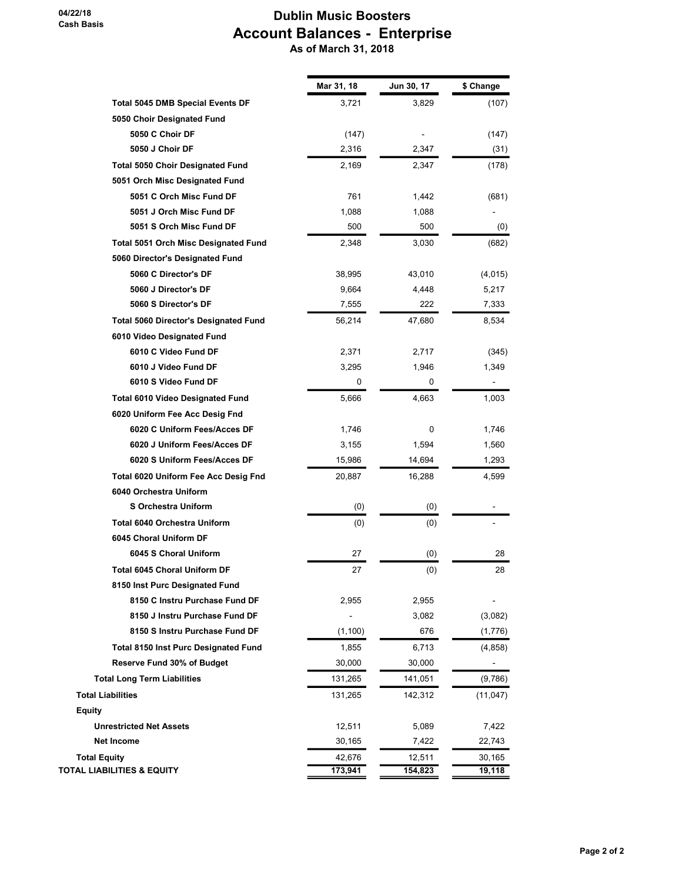### Dublin Music Boosters Account Balances - Enterprise As of March 31, 2018

|                                              | Mar 31, 18 | Jun 30, 17 | \$ Change |
|----------------------------------------------|------------|------------|-----------|
| <b>Total 5045 DMB Special Events DF</b>      | 3,721      | 3,829      | (107)     |
| 5050 Choir Designated Fund                   |            |            |           |
| 5050 C Choir DF                              | (147)      |            | (147)     |
| 5050 J Choir DF                              | 2,316      | 2,347      | (31)      |
| <b>Total 5050 Choir Designated Fund</b>      | 2,169      | 2,347      | (178)     |
| 5051 Orch Misc Designated Fund               |            |            |           |
| 5051 C Orch Misc Fund DF                     | 761        | 1,442      | (681)     |
| 5051 J Orch Misc Fund DF                     | 1,088      | 1,088      |           |
| 5051 S Orch Misc Fund DF                     | 500        | 500        | (0)       |
| <b>Total 5051 Orch Misc Designated Fund</b>  | 2,348      | 3,030      | (682)     |
| 5060 Director's Designated Fund              |            |            |           |
| 5060 C Director's DF                         | 38,995     | 43,010     | (4,015)   |
| 5060 J Director's DF                         | 9,664      | 4,448      | 5,217     |
| 5060 S Director's DF                         | 7,555      | 222        | 7,333     |
| <b>Total 5060 Director's Designated Fund</b> | 56,214     | 47,680     | 8,534     |
| 6010 Video Designated Fund                   |            |            |           |
| 6010 C Video Fund DF                         | 2,371      | 2,717      | (345)     |
| 6010 J Video Fund DF                         | 3,295      | 1,946      | 1,349     |
| 6010 S Video Fund DF                         | 0          | 0          |           |
| <b>Total 6010 Video Designated Fund</b>      | 5,666      | 4,663      | 1,003     |
| 6020 Uniform Fee Acc Desig Fnd               |            |            |           |
| 6020 C Uniform Fees/Acces DF                 | 1,746      | 0          | 1,746     |
| 6020 J Uniform Fees/Acces DF                 | 3,155      | 1,594      | 1,560     |
| 6020 S Uniform Fees/Acces DF                 | 15,986     | 14,694     | 1,293     |
| Total 6020 Uniform Fee Acc Desig Fnd         | 20,887     | 16,288     | 4,599     |
| 6040 Orchestra Uniform                       |            |            |           |
| <b>S Orchestra Uniform</b>                   | (0)        | (0)        |           |
| <b>Total 6040 Orchestra Uniform</b>          | (0)        | (0)        |           |
| 6045 Choral Uniform DF                       |            |            |           |
| 6045 S Choral Uniform                        | 27         | (0)        | 28        |
| Total 6045 Choral Uniform DF                 | 27         | (0)        | 28        |
| 8150 Inst Purc Designated Fund               |            |            |           |
| 8150 C Instru Purchase Fund DF               | 2,955      | 2,955      |           |
| 8150 J Instru Purchase Fund DF               |            | 3,082      | (3,082)   |
| 8150 S Instru Purchase Fund DF               | (1, 100)   | 676        | (1,776)   |
| <b>Total 8150 Inst Purc Designated Fund</b>  | 1,855      | 6,713      | (4, 858)  |
| Reserve Fund 30% of Budget                   | 30,000     | 30,000     |           |
| <b>Total Long Term Liabilities</b>           | 131,265    | 141,051    | (9,786)   |
| <b>Total Liabilities</b>                     | 131,265    | 142,312    | (11, 047) |
| <b>Equity</b>                                |            |            |           |
| <b>Unrestricted Net Assets</b>               | 12,511     | 5,089      | 7,422     |
| Net Income                                   | 30,165     | 7,422      | 22,743    |
| <b>Total Equity</b>                          | 42,676     | 12,511     | 30,165    |
| <b>TOTAL LIABILITIES &amp; EQUITY</b>        | 173,941    | 154,823    | 19,118    |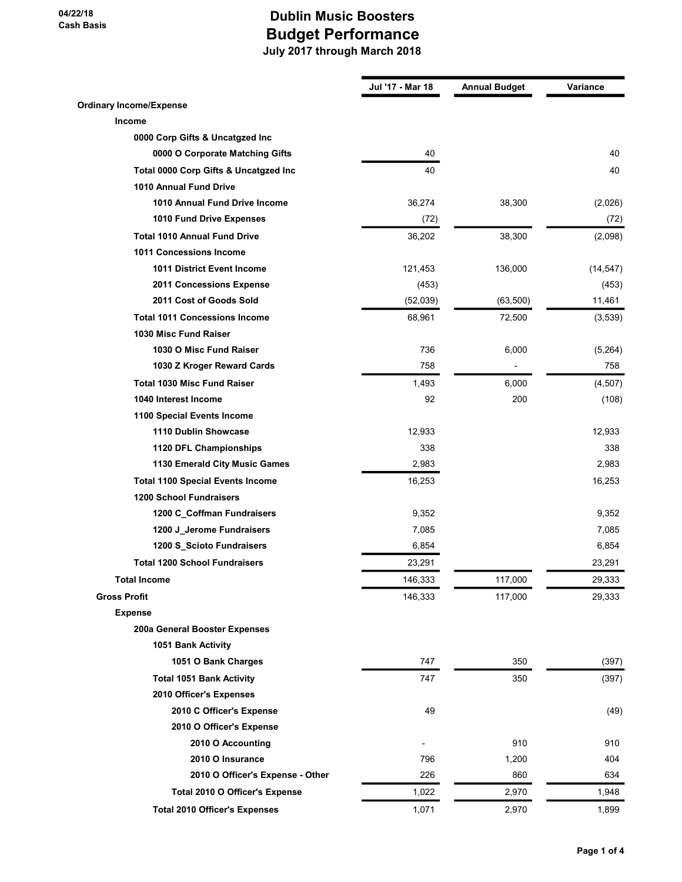|                                         | Jul '17 - Mar 18 | <b>Annual Budget</b> | Variance  |
|-----------------------------------------|------------------|----------------------|-----------|
| <b>Ordinary Income/Expense</b>          |                  |                      |           |
| Income                                  |                  |                      |           |
| 0000 Corp Gifts & Uncatgzed Inc         |                  |                      |           |
| 0000 O Corporate Matching Gifts         | 40               |                      | 40        |
| Total 0000 Corp Gifts & Uncatgzed Inc   | 40               |                      | 40        |
| 1010 Annual Fund Drive                  |                  |                      |           |
| 1010 Annual Fund Drive Income           | 36,274           | 38,300               | (2,026)   |
| 1010 Fund Drive Expenses                | (72)             |                      | (72)      |
| <b>Total 1010 Annual Fund Drive</b>     | 36,202           | 38,300               | (2,098)   |
| 1011 Concessions Income                 |                  |                      |           |
| <b>1011 District Event Income</b>       | 121,453          | 136,000              | (14, 547) |
| 2011 Concessions Expense                | (453)            |                      | (453)     |
| 2011 Cost of Goods Sold                 | (52,039)         | (63, 500)            | 11,461    |
| <b>Total 1011 Concessions Income</b>    | 68,961           | 72,500               | (3,539)   |
| 1030 Misc Fund Raiser                   |                  |                      |           |
| 1030 O Misc Fund Raiser                 | 736              | 6,000                | (5,264)   |
| 1030 Z Kroger Reward Cards              | 758              |                      | 758       |
| <b>Total 1030 Misc Fund Raiser</b>      | 1,493            | 6,000                | (4,507)   |
| 1040 Interest Income                    | 92               | 200                  | (108)     |
| 1100 Special Events Income              |                  |                      |           |
| 1110 Dublin Showcase                    | 12,933           |                      | 12,933    |
| 1120 DFL Championships                  | 338              |                      | 338       |
| 1130 Emerald City Music Games           | 2,983            |                      | 2,983     |
| <b>Total 1100 Special Events Income</b> | 16,253           |                      | 16,253    |
| <b>1200 School Fundraisers</b>          |                  |                      |           |
| 1200 C_Coffman Fundraisers              | 9,352            |                      | 9,352     |
| 1200 J_Jerome Fundraisers               | 7,085            |                      | 7,085     |
| 1200 S_Scioto Fundraisers               | 6,854            |                      | 6,854     |
| <b>Total 1200 School Fundraisers</b>    | 23,291           |                      | 23,291    |
| <b>Total Income</b>                     | 146,333          | 117,000              | 29,333    |
| <b>Gross Profit</b>                     | 146,333          | 117,000              | 29,333    |
| <b>Expense</b>                          |                  |                      |           |
| 200a General Booster Expenses           |                  |                      |           |
| 1051 Bank Activity                      |                  |                      |           |
| 1051 O Bank Charges                     | 747              | 350                  | (397)     |
| <b>Total 1051 Bank Activity</b>         | 747              | 350                  | (397)     |
| 2010 Officer's Expenses                 |                  |                      |           |
| 2010 C Officer's Expense                | 49               |                      | (49)      |
| 2010 O Officer's Expense                |                  |                      |           |
| 2010 O Accounting                       |                  | 910                  | 910       |
| 2010 O Insurance                        | 796              | 1,200                | 404       |
| 2010 O Officer's Expense - Other        | 226              | 860                  | 634       |
| Total 2010 O Officer's Expense          | 1,022            | 2,970                | 1,948     |
| <b>Total 2010 Officer's Expenses</b>    | 1,071            | 2,970                | 1,899     |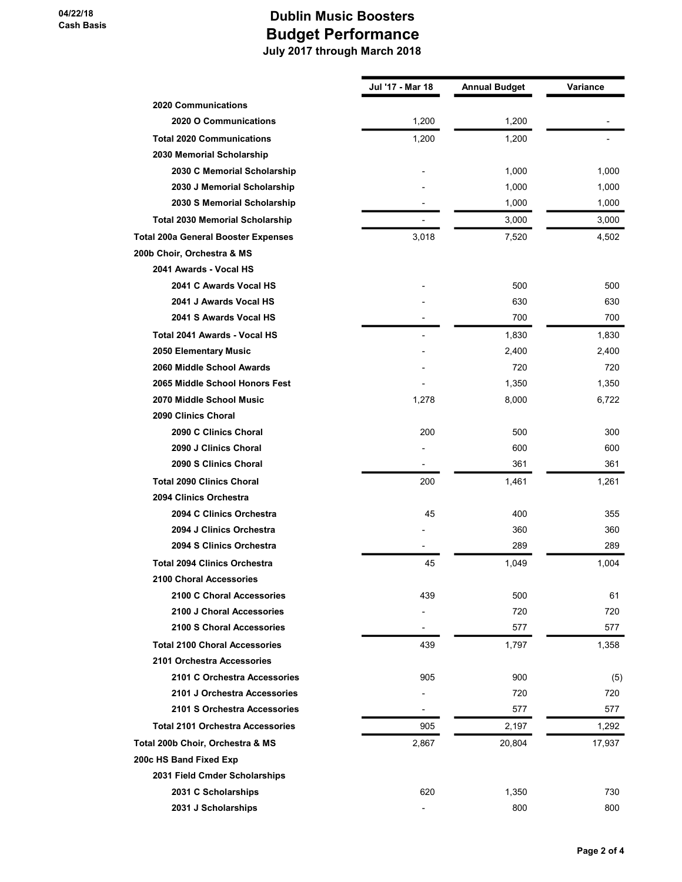|                                            | Jul '17 - Mar 18 | <b>Annual Budget</b> | Variance |
|--------------------------------------------|------------------|----------------------|----------|
| <b>2020 Communications</b>                 |                  |                      |          |
| 2020 O Communications                      | 1,200            | 1,200                |          |
| <b>Total 2020 Communications</b>           | 1,200            | 1,200                |          |
| 2030 Memorial Scholarship                  |                  |                      |          |
| 2030 C Memorial Scholarship                |                  | 1,000                | 1,000    |
| 2030 J Memorial Scholarship                |                  | 1,000                | 1,000    |
| 2030 S Memorial Scholarship                |                  | 1,000                | 1,000    |
| <b>Total 2030 Memorial Scholarship</b>     |                  | 3,000                | 3,000    |
| <b>Total 200a General Booster Expenses</b> | 3,018            | 7,520                | 4,502    |
| 200b Choir, Orchestra & MS                 |                  |                      |          |
| 2041 Awards - Vocal HS                     |                  |                      |          |
| 2041 C Awards Vocal HS                     |                  | 500                  | 500      |
| 2041 J Awards Vocal HS                     |                  | 630                  | 630      |
| 2041 S Awards Vocal HS                     |                  | 700                  | 700      |
| Total 2041 Awards - Vocal HS               |                  | 1,830                | 1,830    |
| 2050 Elementary Music                      |                  | 2,400                | 2,400    |
| 2060 Middle School Awards                  |                  | 720                  | 720      |
| 2065 Middle School Honors Fest             |                  | 1,350                | 1,350    |
| 2070 Middle School Music                   | 1,278            | 8,000                | 6,722    |
| 2090 Clinics Choral                        |                  |                      |          |
| 2090 C Clinics Choral                      | 200              | 500                  | 300      |
| 2090 J Clinics Choral                      |                  | 600                  | 600      |
| 2090 S Clinics Choral                      |                  | 361                  | 361      |
| <b>Total 2090 Clinics Choral</b>           | 200              | 1,461                | 1,261    |
| 2094 Clinics Orchestra                     |                  |                      |          |
| 2094 C Clinics Orchestra                   | 45               | 400                  | 355      |
| 2094 J Clinics Orchestra                   |                  | 360                  | 360      |
| 2094 S Clinics Orchestra                   |                  | 289                  | 289      |
| <b>Total 2094 Clinics Orchestra</b>        | 45               | 1,049                | 1,004    |
| 2100 Choral Accessories                    |                  |                      |          |
| 2100 C Choral Accessories                  | 439              | 500                  | 61       |
| 2100 J Choral Accessories                  |                  | 720                  | 720      |
| 2100 S Choral Accessories                  |                  | 577                  | 577      |
| <b>Total 2100 Choral Accessories</b>       | 439              | 1,797                | 1,358    |
| 2101 Orchestra Accessories                 |                  |                      |          |
| 2101 C Orchestra Accessories               | 905              | 900                  | (5)      |
| 2101 J Orchestra Accessories               |                  | 720                  | 720      |
| 2101 S Orchestra Accessories               |                  | 577                  | 577      |
| <b>Total 2101 Orchestra Accessories</b>    | 905              | 2,197                | 1,292    |
| Total 200b Choir, Orchestra & MS           | 2,867            | 20,804               | 17,937   |
| 200c HS Band Fixed Exp                     |                  |                      |          |
| 2031 Field Cmder Scholarships              |                  |                      |          |
| 2031 C Scholarships                        | 620              | 1,350                | 730      |
| 2031 J Scholarships                        |                  | 800                  | 800      |
|                                            |                  |                      |          |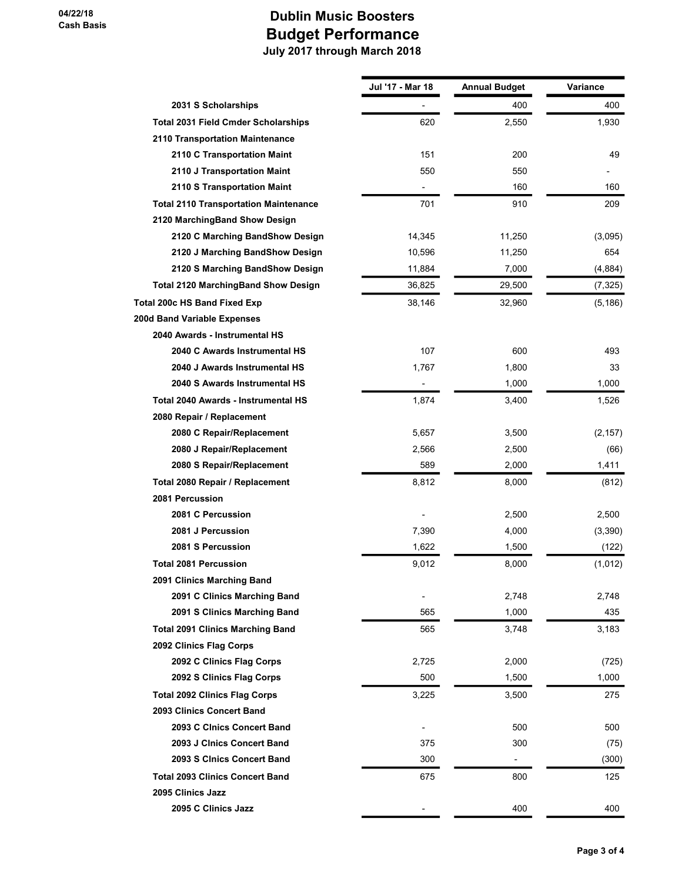|                                              | Jul '17 - Mar 18 | <b>Annual Budget</b> | Variance |
|----------------------------------------------|------------------|----------------------|----------|
| 2031 S Scholarships                          |                  | 400                  | 400      |
| <b>Total 2031 Field Cmder Scholarships</b>   | 620              | 2,550                | 1,930    |
| 2110 Transportation Maintenance              |                  |                      |          |
| 2110 C Transportation Maint                  | 151              | 200                  | 49       |
| 2110 J Transportation Maint                  | 550              | 550                  |          |
| 2110 S Transportation Maint                  |                  | 160                  | 160      |
| <b>Total 2110 Transportation Maintenance</b> | 701              | 910                  | 209      |
| 2120 MarchingBand Show Design                |                  |                      |          |
| 2120 C Marching BandShow Design              | 14,345           | 11,250               | (3,095)  |
| 2120 J Marching BandShow Design              | 10,596           | 11,250               | 654      |
| 2120 S Marching BandShow Design              | 11,884           | 7,000                | (4,884)  |
| <b>Total 2120 MarchingBand Show Design</b>   | 36,825           | 29,500               | (7, 325) |
| Total 200c HS Band Fixed Exp                 | 38,146           | 32,960               | (5, 186) |
| 200d Band Variable Expenses                  |                  |                      |          |
| 2040 Awards - Instrumental HS                |                  |                      |          |
| 2040 C Awards Instrumental HS                | 107              | 600                  | 493      |
| 2040 J Awards Instrumental HS                | 1,767            | 1,800                | 33       |
| 2040 S Awards Instrumental HS                | ٠                | 1,000                | 1,000    |
| Total 2040 Awards - Instrumental HS          | 1,874            | 3,400                | 1,526    |
| 2080 Repair / Replacement                    |                  |                      |          |
| 2080 C Repair/Replacement                    | 5,657            | 3,500                | (2, 157) |
| 2080 J Repair/Replacement                    | 2,566            | 2,500                | (66)     |
| 2080 S Repair/Replacement                    | 589              | 2,000                | 1,411    |
| Total 2080 Repair / Replacement              | 8,812            | 8,000                | (812)    |
| 2081 Percussion                              |                  |                      |          |
| 2081 C Percussion                            |                  | 2,500                | 2,500    |
| 2081 J Percussion                            | 7,390            | 4,000                | (3,390)  |
| 2081 S Percussion                            | 1,622            | 1,500                | (122)    |
| <b>Total 2081 Percussion</b>                 | 9,012            | 8,000                | (1,012)  |
| 2091 Clinics Marching Band                   |                  |                      |          |
| 2091 C Clinics Marching Band                 |                  | 2,748                | 2,748    |
| 2091 S Clinics Marching Band                 | 565              | 1,000                | 435      |
| <b>Total 2091 Clinics Marching Band</b>      | 565              | 3,748                | 3,183    |
| 2092 Clinics Flag Corps                      |                  |                      |          |
| 2092 C Clinics Flag Corps                    | 2,725            | 2,000                | (725)    |
| 2092 S Clinics Flag Corps                    | 500              | 1,500                | 1,000    |
| <b>Total 2092 Clinics Flag Corps</b>         | 3,225            | 3,500                | 275      |
| 2093 Clinics Concert Band                    |                  |                      |          |
| 2093 C Clnics Concert Band                   |                  | 500                  | 500      |
| 2093 J Cinics Concert Band                   | 375              | 300                  | (75)     |
| 2093 S Cinics Concert Band                   | 300              |                      | (300)    |
| <b>Total 2093 Clinics Concert Band</b>       | 675              | 800                  | 125      |
| 2095 Clinics Jazz                            |                  |                      |          |
| 2095 C Clinics Jazz                          |                  | 400                  | 400      |